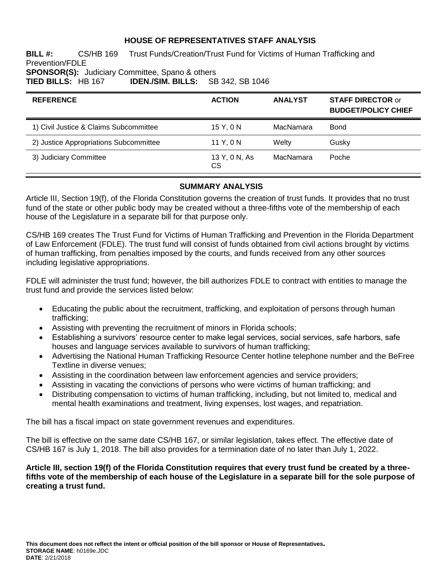# **HOUSE OF REPRESENTATIVES STAFF ANALYSIS**

**BILL #:** CS/HB 169 Trust Funds/Creation/Trust Fund for Victims of Human Trafficking and Prevention/FDLE **SPONSOR(S):** Judiciary Committee, Spano & others **TIED BILLS:** HB 167 **IDEN./SIM. BILLS:** SB 342, SB 1046

| <b>REFERENCE</b>                       | <b>ACTION</b>       | <b>ANALYST</b> | <b>STAFF DIRECTOR or</b><br><b>BUDGET/POLICY CHIEF</b> |
|----------------------------------------|---------------------|----------------|--------------------------------------------------------|
| 1) Civil Justice & Claims Subcommittee | 15 Y.ON             | MacNamara      | <b>Bond</b>                                            |
| 2) Justice Appropriations Subcommittee | 11 Y, 0 N           | Welty          | Gusky                                                  |
| 3) Judiciary Committee                 | 13 Y, 0 N, As<br>CS | MacNamara      | Poche                                                  |

# **SUMMARY ANALYSIS**

Article III, Section 19(f), of the Florida Constitution governs the creation of trust funds. It provides that no trust fund of the state or other public body may be created without a three-fifths vote of the membership of each house of the Legislature in a separate bill for that purpose only.

CS/HB 169 creates The Trust Fund for Victims of Human Trafficking and Prevention in the Florida Department of Law Enforcement (FDLE). The trust fund will consist of funds obtained from civil actions brought by victims of human trafficking, from penalties imposed by the courts, and funds received from any other sources including legislative appropriations.

FDLE will administer the trust fund; however, the bill authorizes FDLE to contract with entities to manage the trust fund and provide the services listed below:

- Educating the public about the recruitment, trafficking, and exploitation of persons through human trafficking;
- Assisting with preventing the recruitment of minors in Florida schools;
- Establishing a survivors' resource center to make legal services, social services, safe harbors, safe houses and language services available to survivors of human trafficking;
- Advertising the National Human Trafficking Resource Center hotline telephone number and the BeFree Textline in diverse venues;
- Assisting in the coordination between law enforcement agencies and service providers;
- Assisting in vacating the convictions of persons who were victims of human trafficking; and
- Distributing compensation to victims of human trafficking, including, but not limited to, medical and mental health examinations and treatment, living expenses, lost wages, and repatriation.

The bill has a fiscal impact on state government revenues and expenditures.

The bill is effective on the same date CS/HB 167, or similar legislation, takes effect. The effective date of CS/HB 167 is July 1, 2018. The bill also provides for a termination date of no later than July 1, 2022.

**Article III, section 19(f) of the Florida Constitution requires that every trust fund be created by a threefifths vote of the membership of each house of the Legislature in a separate bill for the sole purpose of creating a trust fund.**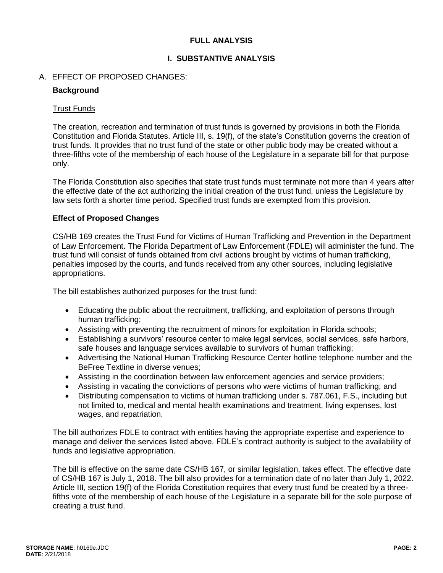# **FULL ANALYSIS**

# **I. SUBSTANTIVE ANALYSIS**

## A. EFFECT OF PROPOSED CHANGES:

#### **Background**

#### Trust Funds

The creation, recreation and termination of trust funds is governed by provisions in both the Florida Constitution and Florida Statutes. Article III, s. 19(f), of the state's Constitution governs the creation of trust funds. It provides that no trust fund of the state or other public body may be created without a three-fifths vote of the membership of each house of the Legislature in a separate bill for that purpose only.

The Florida Constitution also specifies that state trust funds must terminate not more than 4 years after the effective date of the act authorizing the initial creation of the trust fund, unless the Legislature by law sets forth a shorter time period. Specified trust funds are exempted from this provision.

#### **Effect of Proposed Changes**

CS/HB 169 creates the Trust Fund for Victims of Human Trafficking and Prevention in the Department of Law Enforcement. The Florida Department of Law Enforcement (FDLE) will administer the fund. The trust fund will consist of funds obtained from civil actions brought by victims of human trafficking, penalties imposed by the courts, and funds received from any other sources, including legislative appropriations.

The bill establishes authorized purposes for the trust fund:

- Educating the public about the recruitment, trafficking, and exploitation of persons through human trafficking;
- Assisting with preventing the recruitment of minors for exploitation in Florida schools;
- Establishing a survivors' resource center to make legal services, social services, safe harbors, safe houses and language services available to survivors of human trafficking;
- Advertising the National Human Trafficking Resource Center hotline telephone number and the BeFree Textline in diverse venues;
- Assisting in the coordination between law enforcement agencies and service providers;
- Assisting in vacating the convictions of persons who were victims of human trafficking; and
- Distributing compensation to victims of human trafficking under s. 787.061, F.S., including but not limited to, medical and mental health examinations and treatment, living expenses, lost wages, and repatriation.

The bill authorizes FDLE to contract with entities having the appropriate expertise and experience to manage and deliver the services listed above. FDLE's contract authority is subject to the availability of funds and legislative appropriation.

The bill is effective on the same date CS/HB 167, or similar legislation, takes effect. The effective date of CS/HB 167 is July 1, 2018. The bill also provides for a termination date of no later than July 1, 2022. Article III, section 19(f) of the Florida Constitution requires that every trust fund be created by a threefifths vote of the membership of each house of the Legislature in a separate bill for the sole purpose of creating a trust fund.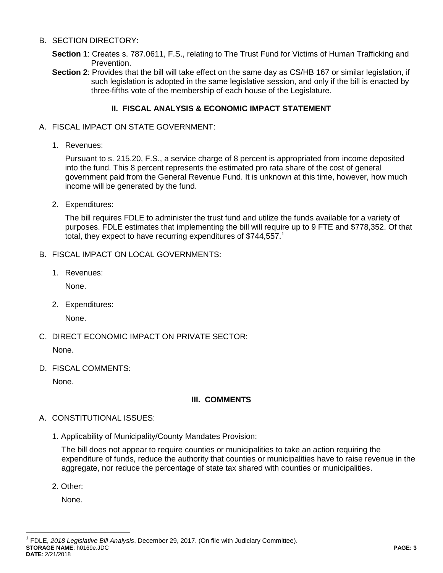# B. SECTION DIRECTORY:

- **Section 1**: Creates s. 787.0611, F.S., relating to The Trust Fund for Victims of Human Trafficking and Prevention.
- **Section 2**: Provides that the bill will take effect on the same day as CS/HB 167 or similar legislation, if such legislation is adopted in the same legislative session, and only if the bill is enacted by three-fifths vote of the membership of each house of the Legislature.

# **II. FISCAL ANALYSIS & ECONOMIC IMPACT STATEMENT**

- A. FISCAL IMPACT ON STATE GOVERNMENT:
	- 1. Revenues:

Pursuant to s. 215.20, F.S., a service charge of 8 percent is appropriated from income deposited into the fund. This 8 percent represents the estimated pro rata share of the cost of general government paid from the General Revenue Fund. It is unknown at this time, however, how much income will be generated by the fund.

2. Expenditures:

The bill requires FDLE to administer the trust fund and utilize the funds available for a variety of purposes. FDLE estimates that implementing the bill will require up to 9 FTE and \$778,352. Of that total, they expect to have recurring expenditures of  $$744,557$ <sup>1</sup>

- B. FISCAL IMPACT ON LOCAL GOVERNMENTS:
	- 1. Revenues:

None.

2. Expenditures:

None.

- C. DIRECT ECONOMIC IMPACT ON PRIVATE SECTOR: None.
- D. FISCAL COMMENTS:

None.

# **III. COMMENTS**

- A. CONSTITUTIONAL ISSUES:
	- 1. Applicability of Municipality/County Mandates Provision:

The bill does not appear to require counties or municipalities to take an action requiring the expenditure of funds, reduce the authority that counties or municipalities have to raise revenue in the aggregate, nor reduce the percentage of state tax shared with counties or municipalities.

2. Other:

 $\overline{a}$ 

None.

**STORAGE NAME**: h0169e.JDC **PAGE: 3 DATE**: 2/21/2018 1 FDLE, *2018 Legislative Bill Analysis*, December 29, 2017. (On file with Judiciary Committee).